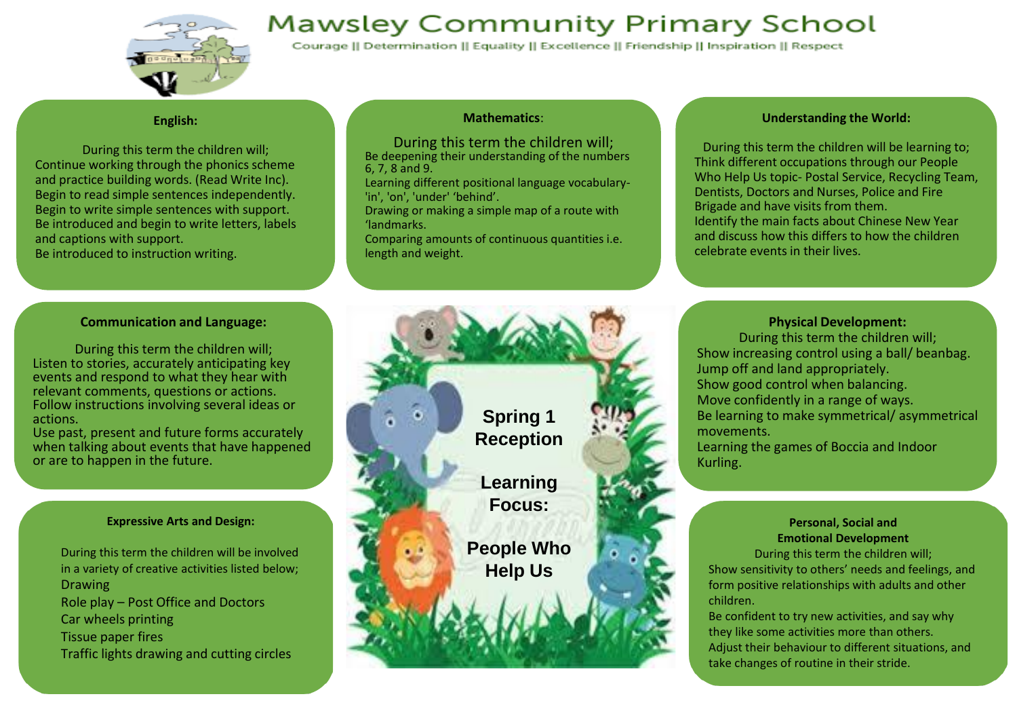## **Mawsley Community Primary School**



Courage || Determination || Equality || Excellence || Friendship || Inspiration || Respect

### **English:**

During this term the children will; Continue working through the phonics scheme and practice building words. (Read Write Inc). Begin to read simple sentences independently. Begin to write simple sentences with support. Be introduced and begin to write letters, labels and captions with support.

Be introduced to instruction writing.

### **Mathematics**:

During this term the children will; Be deepening their understanding of the numbers 6, 7, 8 and 9.

Learning different positional language vocabulary- 'in', 'on', 'under' 'behind'.

Drawing or making a simple map of a route with 'landmarks.

Comparing amounts of continuous quantities i.e. length and weight.

### **Understanding the World:**

During this term the children will be learning to; Think different occupations through our People Who Help Us topic- Postal Service, Recycling Team, Dentists, Doctors and Nurses, Police and Fire Brigade and have visits from them. Identify the main facts about Chinese New Year and discuss how this differs to how the children celebrate events in their lives.

### **Communication and Language:**

During this term the children will; Listen to stories, accurately anticipating key events and respond to what they hear with relevant comments, questions or actions. Follow instructions involving several ideas or actions.

Use past, present and future forms accurately when talking about events that have happened or are to happen in the future.

### **Expressive Arts and Design:**

During this term the children will be involved in a variety of creative activities listed below; Drawing Role play – Post Office and Doctors Car wheels printing Tissue paper fires Traffic lights drawing and cutting circles



### **Physical Development:**

During this term the children will; Show increasing control using a ball/ beanbag. Jump off and land appropriately. Show good control when balancing. Move confidently in a range of ways. Be learning to make symmetrical/ asymmetrical movements.

Learning the games of Boccia and Indoor Kurling.

### **Personal, Social and Emotional Development**

During this term the children will; Show sensitivity to others' needs and feelings, and form positive relationships with adults and other children.

Be confident to try new activities, and say why they like some activities more than others. Adjust their behaviour to different situations, and take changes of routine in their stride.